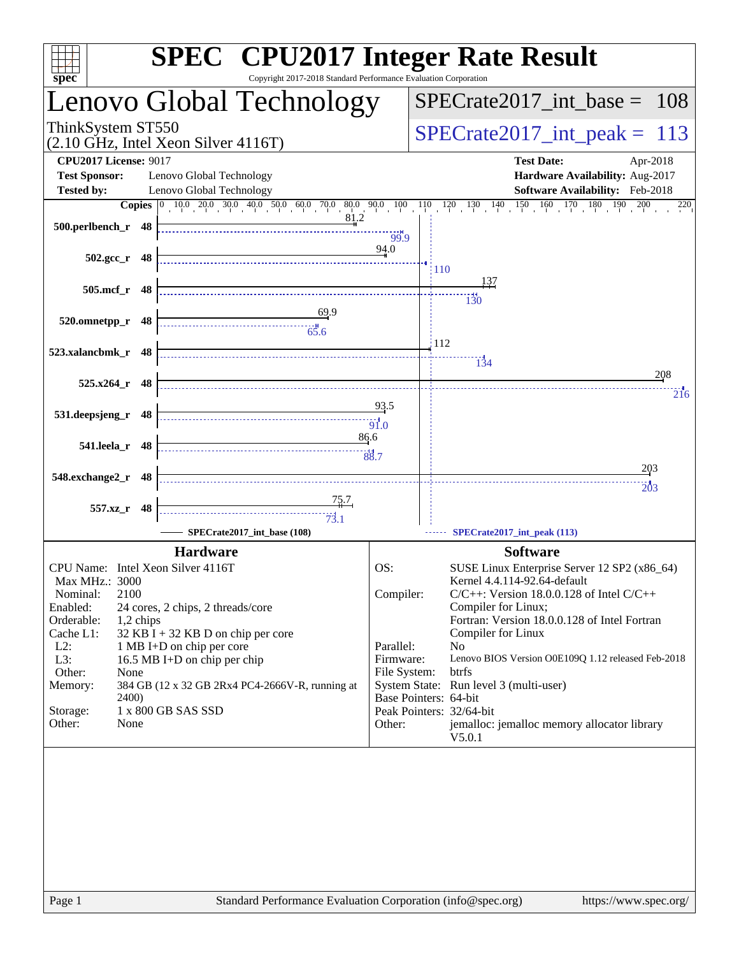| spec <sup>®</sup>                                                                                                                                                                                                                                                                                                                                                                                                                                      | <b>SPEC<sup>®</sup></b> CPU2017 Integer Rate Result<br>Copyright 2017-2018 Standard Performance Evaluation Corporation                                                                                                                                                                                                                                                                                                                                                                                                                                         |
|--------------------------------------------------------------------------------------------------------------------------------------------------------------------------------------------------------------------------------------------------------------------------------------------------------------------------------------------------------------------------------------------------------------------------------------------------------|----------------------------------------------------------------------------------------------------------------------------------------------------------------------------------------------------------------------------------------------------------------------------------------------------------------------------------------------------------------------------------------------------------------------------------------------------------------------------------------------------------------------------------------------------------------|
| Lenovo Global Technology                                                                                                                                                                                                                                                                                                                                                                                                                               | $SPECrate2017\_int\_base =$<br>108                                                                                                                                                                                                                                                                                                                                                                                                                                                                                                                             |
| ThinkSystem ST550<br>$(2.10 \text{ GHz}, \text{Intel Xeon Silver } 4116 \text{T})$                                                                                                                                                                                                                                                                                                                                                                     | $SPECrate2017\_int\_peak =$<br>113                                                                                                                                                                                                                                                                                                                                                                                                                                                                                                                             |
| <b>CPU2017 License: 9017</b><br><b>Test Sponsor:</b><br>Lenovo Global Technology                                                                                                                                                                                                                                                                                                                                                                       | <b>Test Date:</b><br>Apr-2018<br>Hardware Availability: Aug-2017                                                                                                                                                                                                                                                                                                                                                                                                                                                                                               |
| <b>Tested by:</b><br>Lenovo Global Technology<br>81.2<br>500.perlbench_r 48                                                                                                                                                                                                                                                                                                                                                                            | Software Availability: Feb-2018<br><b>Copies</b> $\begin{bmatrix} 0 & 10 & 0 & 20 & 30 & 40 & 50 & 60 & 70 & 80 & 90 & 10 & 10 & 12 & 130 & 140 & 150 & 160 & 170 & 180 & 190 & 200 & 220 \end{bmatrix}$                                                                                                                                                                                                                                                                                                                                                       |
| $502.\text{gcc}_r$ 48                                                                                                                                                                                                                                                                                                                                                                                                                                  | 99.9<br>94.0<br><b>110</b>                                                                                                                                                                                                                                                                                                                                                                                                                                                                                                                                     |
| 505.mcf_r 48                                                                                                                                                                                                                                                                                                                                                                                                                                           | 137<br>$\frac{14}{130}$                                                                                                                                                                                                                                                                                                                                                                                                                                                                                                                                        |
| 69.9<br>520.omnetpp_r 48                                                                                                                                                                                                                                                                                                                                                                                                                               | 112                                                                                                                                                                                                                                                                                                                                                                                                                                                                                                                                                            |
| 523.xalancbmk_r 48<br>525.x264_r 48                                                                                                                                                                                                                                                                                                                                                                                                                    | $\frac{11}{134}$<br>208                                                                                                                                                                                                                                                                                                                                                                                                                                                                                                                                        |
| 531.deepsjeng_r 48                                                                                                                                                                                                                                                                                                                                                                                                                                     | 216<br>93.5<br>$\dddot{91.0}$                                                                                                                                                                                                                                                                                                                                                                                                                                                                                                                                  |
| 541.leela_r 48                                                                                                                                                                                                                                                                                                                                                                                                                                         | 86.6                                                                                                                                                                                                                                                                                                                                                                                                                                                                                                                                                           |
| 548.exchange2_r 48                                                                                                                                                                                                                                                                                                                                                                                                                                     | $\frac{203}{2}$<br>20 <sub>3</sub>                                                                                                                                                                                                                                                                                                                                                                                                                                                                                                                             |
| $\begin{array}{c c}\n & 75.7 \\ \hline\n & 73.1\n\end{array}$<br>557.xz_r 48<br>SPECrate2017_int_base (108)                                                                                                                                                                                                                                                                                                                                            | SPECrate2017_int_peak (113)                                                                                                                                                                                                                                                                                                                                                                                                                                                                                                                                    |
| <b>Hardware</b><br>CPU Name: Intel Xeon Silver 4116T<br>Max MHz.: 3000<br>Nominal:<br>2100<br>Enabled:<br>24 cores, 2 chips, 2 threads/core<br>Orderable:<br>1,2 chips<br>Cache L1:<br>$32$ KB I + 32 KB D on chip per core<br>$L2$ :<br>1 MB I+D on chip per core<br>L3:<br>16.5 MB I+D on chip per chip<br>Other:<br>None<br>384 GB (12 x 32 GB 2Rx4 PC4-2666V-R, running at<br>Memory:<br>2400)<br>1 x 800 GB SAS SSD<br>Storage:<br>Other:<br>None | <b>Software</b><br>OS:<br>SUSE Linux Enterprise Server 12 SP2 (x86_64)<br>Kernel 4.4.114-92.64-default<br>Compiler:<br>$C/C++$ : Version 18.0.0.128 of Intel $C/C++$<br>Compiler for Linux;<br>Fortran: Version 18.0.0.128 of Intel Fortran<br>Compiler for Linux<br>Parallel:<br>N <sub>0</sub><br>Firmware:<br>Lenovo BIOS Version O0E109Q 1.12 released Feb-2018<br>File System:<br>btrfs<br>System State: Run level 3 (multi-user)<br>Base Pointers: 64-bit<br>Peak Pointers: 32/64-bit<br>Other:<br>jemalloc: jemalloc memory allocator library<br>V5.0.1 |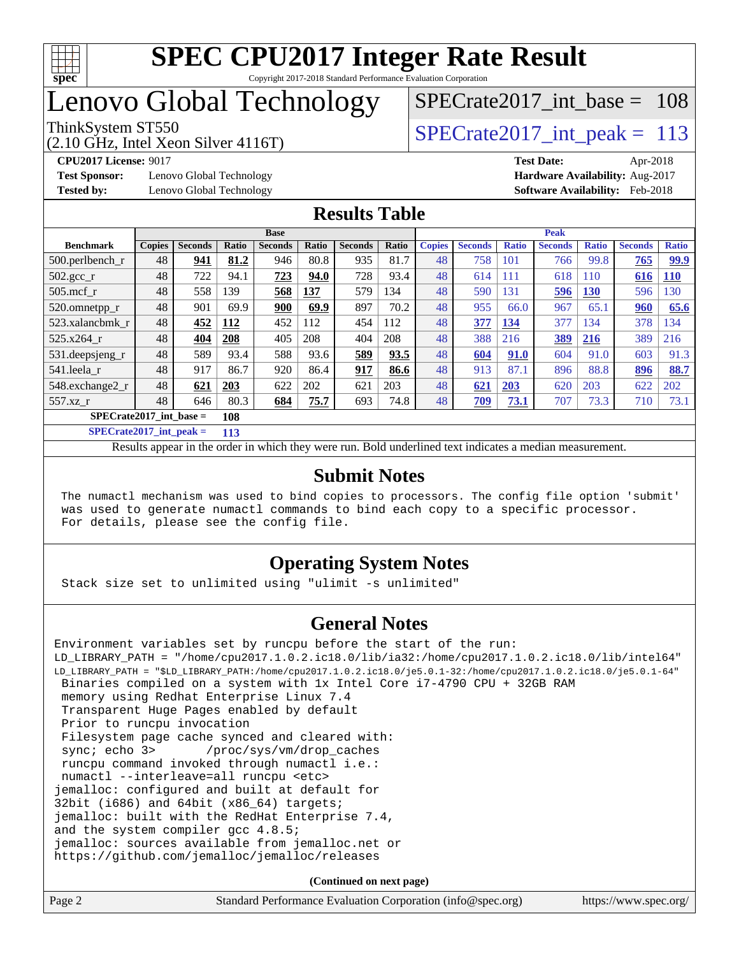

### Lenovo Global Technology

(2.10 GHz, Intel Xeon Silver 4116T)

ThinkSystem ST550  $SPIZ$  Interval Lemma  $SPECrate2017$  interval peak = 113 [SPECrate2017\\_int\\_base =](http://www.spec.org/auto/cpu2017/Docs/result-fields.html#SPECrate2017intbase) 108

**[Test Sponsor:](http://www.spec.org/auto/cpu2017/Docs/result-fields.html#TestSponsor)** Lenovo Global Technology **[Hardware Availability:](http://www.spec.org/auto/cpu2017/Docs/result-fields.html#HardwareAvailability)** Aug-2017

**[CPU2017 License:](http://www.spec.org/auto/cpu2017/Docs/result-fields.html#CPU2017License)** 9017 **[Test Date:](http://www.spec.org/auto/cpu2017/Docs/result-fields.html#TestDate)** Apr-2018 **[Tested by:](http://www.spec.org/auto/cpu2017/Docs/result-fields.html#Testedby)** Lenovo Global Technology **[Software Availability:](http://www.spec.org/auto/cpu2017/Docs/result-fields.html#SoftwareAvailability)** Feb-2018

#### **[Results Table](http://www.spec.org/auto/cpu2017/Docs/result-fields.html#ResultsTable)**

|                           | <b>Base</b>   |                |              |                |              |                | <b>Peak</b> |               |                |              |                |              |                |              |
|---------------------------|---------------|----------------|--------------|----------------|--------------|----------------|-------------|---------------|----------------|--------------|----------------|--------------|----------------|--------------|
| <b>Benchmark</b>          | <b>Copies</b> | <b>Seconds</b> | <b>Ratio</b> | <b>Seconds</b> | <b>Ratio</b> | <b>Seconds</b> | Ratio       | <b>Copies</b> | <b>Seconds</b> | <b>Ratio</b> | <b>Seconds</b> | <b>Ratio</b> | <b>Seconds</b> | <b>Ratio</b> |
| $500.$ perlbench_r        | 48            | 941            | 81.2         | 946            | 80.8         | 935            | 81.7        | 48            | 758            | 101          | 766            | 99.8         | 765            | 99.9         |
| $502.\text{sec}$          | 48            | 722            | 94.1         | 723            | 94.0         | 728            | 93.4        | 48            | 614            | 111          | 618            | 110          | 616            | <b>110</b>   |
| $505$ .mcf r              | 48            | 558            | 139          | 568            | 137          | 579            | 134         | 48            | 590            | 131          | 596            | 130          | 596            | 30           |
| 520.omnetpp_r             | 48            | 901            | 69.9         | 900            | 69.9         | 897            | 70.2        | 48            | 955            | 66.0         | 967            | 65.1         | 960            | 65.6         |
| 523.xalancbmk r           | 48            | 452            | 112          | 452            | 112          | 454            | 112         | 48            | 377            | 134          | 377            | 134          | 378            | 134          |
| 525.x264 r                | 48            | 404            | 208          | 405            | 208          | 404            | 208         | 48            | 388            | 216          | 389            | 216          | 389            | 216          |
| 531.deepsjeng_r           | 48            | 589            | 93.4         | 588            | 93.6         | 589            | 93.5        | 48            | 604            | 91.0         | 604            | 91.0         | 603            | 91.3         |
| 541.leela r               | 48            | 917            | 86.7         | 920            | 86.4         | 917            | 86.6        | 48            | 913            | 87.1         | 896            | 88.8         | 896            | 88.7         |
| 548.exchange2_r           | 48            | 621            | 203          | 622            | 202          | 621            | 203         | 48            | 621            | 203          | 620            | 203          | 622            | 202          |
| $557.xz$ r                | 48            | 646            | 80.3         | 684            | 75.7         | 693            | 74.8        | 48            | <b>709</b>     | 73.1         | 707            | 73.3         | 710            | 73.1         |
| $SPECrate2017$ int base = |               |                | 108          |                |              |                |             |               |                |              |                |              |                |              |

**[SPECrate2017\\_int\\_peak =](http://www.spec.org/auto/cpu2017/Docs/result-fields.html#SPECrate2017intpeak) 113**

Results appear in the [order in which they were run.](http://www.spec.org/auto/cpu2017/Docs/result-fields.html#RunOrder) Bold underlined text [indicates a median measurement.](http://www.spec.org/auto/cpu2017/Docs/result-fields.html#Median)

#### **[Submit Notes](http://www.spec.org/auto/cpu2017/Docs/result-fields.html#SubmitNotes)**

 The numactl mechanism was used to bind copies to processors. The config file option 'submit' was used to generate numactl commands to bind each copy to a specific processor. For details, please see the config file.

#### **[Operating System Notes](http://www.spec.org/auto/cpu2017/Docs/result-fields.html#OperatingSystemNotes)**

Stack size set to unlimited using "ulimit -s unlimited"

#### **[General Notes](http://www.spec.org/auto/cpu2017/Docs/result-fields.html#GeneralNotes)**

Environment variables set by runcpu before the start of the run: LD\_LIBRARY\_PATH = "/home/cpu2017.1.0.2.ic18.0/lib/ia32:/home/cpu2017.1.0.2.ic18.0/lib/intel64" LD\_LIBRARY\_PATH = "\$LD\_LIBRARY\_PATH:/home/cpu2017.1.0.2.ic18.0/je5.0.1-32:/home/cpu2017.1.0.2.ic18.0/je5.0.1-64" Binaries compiled on a system with 1x Intel Core i7-4790 CPU + 32GB RAM memory using Redhat Enterprise Linux 7.4 Transparent Huge Pages enabled by default Prior to runcpu invocation Filesystem page cache synced and cleared with: sync; echo 3> /proc/sys/vm/drop\_caches runcpu command invoked through numactl i.e.: numactl --interleave=all runcpu <etc> jemalloc: configured and built at default for 32bit (i686) and 64bit (x86\_64) targets; jemalloc: built with the RedHat Enterprise 7.4, and the system compiler gcc 4.8.5; jemalloc: sources available from jemalloc.net or <https://github.com/jemalloc/jemalloc/releases> **(Continued on next page)**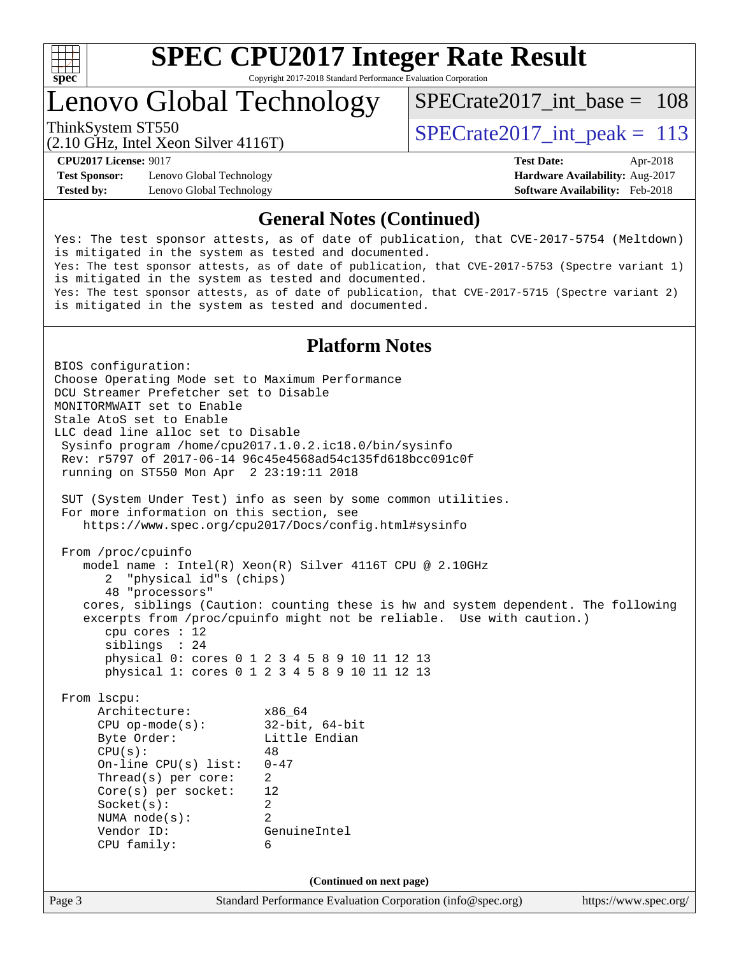

Lenovo Global Technology

ThinkSystem ST550  $SPIZ$  Interval Lemma  $SPECrate2017$  interval peak = 113 [SPECrate2017\\_int\\_base =](http://www.spec.org/auto/cpu2017/Docs/result-fields.html#SPECrate2017intbase) 108

(2.10 GHz, Intel Xeon Silver 4116T)

**[Test Sponsor:](http://www.spec.org/auto/cpu2017/Docs/result-fields.html#TestSponsor)** Lenovo Global Technology **[Hardware Availability:](http://www.spec.org/auto/cpu2017/Docs/result-fields.html#HardwareAvailability)** Aug-2017 **[Tested by:](http://www.spec.org/auto/cpu2017/Docs/result-fields.html#Testedby)** Lenovo Global Technology **[Software Availability:](http://www.spec.org/auto/cpu2017/Docs/result-fields.html#SoftwareAvailability)** Feb-2018

**[CPU2017 License:](http://www.spec.org/auto/cpu2017/Docs/result-fields.html#CPU2017License)** 9017 **[Test Date:](http://www.spec.org/auto/cpu2017/Docs/result-fields.html#TestDate)** Apr-2018

#### **[General Notes \(Continued\)](http://www.spec.org/auto/cpu2017/Docs/result-fields.html#GeneralNotes)**

Yes: The test sponsor attests, as of date of publication, that CVE-2017-5754 (Meltdown) is mitigated in the system as tested and documented. Yes: The test sponsor attests, as of date of publication, that CVE-2017-5753 (Spectre variant 1) is mitigated in the system as tested and documented. Yes: The test sponsor attests, as of date of publication, that CVE-2017-5715 (Spectre variant 2) is mitigated in the system as tested and documented.

#### **[Platform Notes](http://www.spec.org/auto/cpu2017/Docs/result-fields.html#PlatformNotes)**

Page 3 Standard Performance Evaluation Corporation [\(info@spec.org\)](mailto:info@spec.org) <https://www.spec.org/> BIOS configuration: Choose Operating Mode set to Maximum Performance DCU Streamer Prefetcher set to Disable MONITORMWAIT set to Enable Stale AtoS set to Enable LLC dead line alloc set to Disable Sysinfo program /home/cpu2017.1.0.2.ic18.0/bin/sysinfo Rev: r5797 of 2017-06-14 96c45e4568ad54c135fd618bcc091c0f running on ST550 Mon Apr 2 23:19:11 2018 SUT (System Under Test) info as seen by some common utilities. For more information on this section, see <https://www.spec.org/cpu2017/Docs/config.html#sysinfo> From /proc/cpuinfo model name : Intel(R) Xeon(R) Silver 4116T CPU @ 2.10GHz 2 "physical id"s (chips) 48 "processors" cores, siblings (Caution: counting these is hw and system dependent. The following excerpts from /proc/cpuinfo might not be reliable. Use with caution.) cpu cores : 12 siblings : 24 physical 0: cores 0 1 2 3 4 5 8 9 10 11 12 13 physical 1: cores 0 1 2 3 4 5 8 9 10 11 12 13 From lscpu: Architecture: x86\_64 CPU op-mode(s): 32-bit, 64-bit Byte Order: Little Endian  $CPU(s):$  48 On-line CPU(s) list: 0-47 Thread(s) per core: 2 Core(s) per socket: 12 Socket(s): 2 NUMA node(s): 2 Vendor ID: GenuineIntel CPU family: 6 **(Continued on next page)**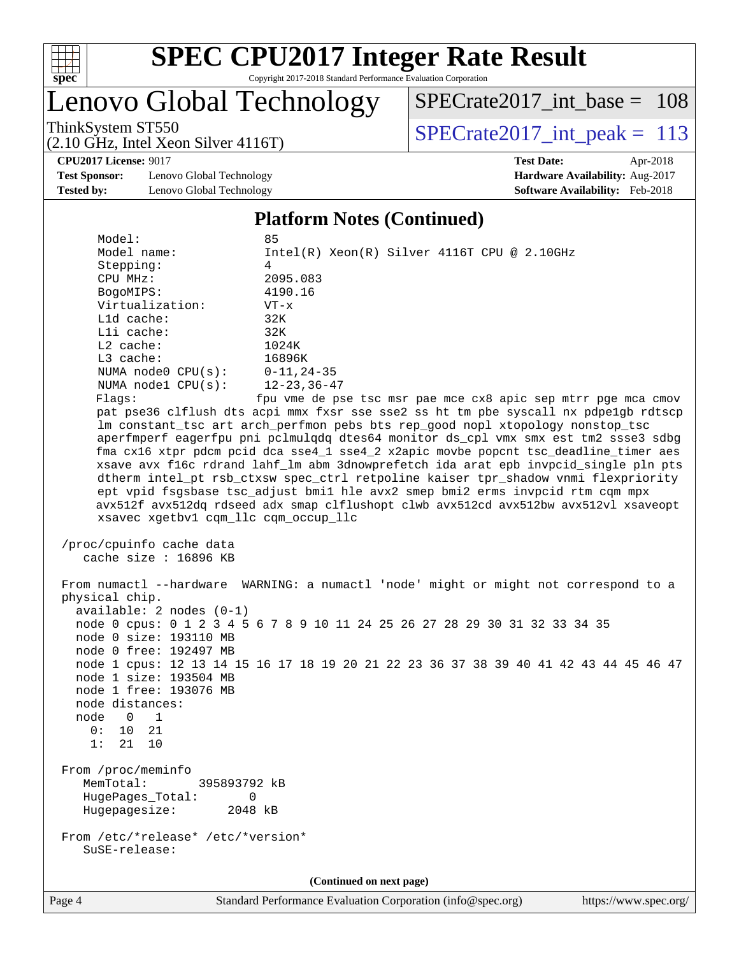

### Lenovo Global Technology

[SPECrate2017\\_int\\_base =](http://www.spec.org/auto/cpu2017/Docs/result-fields.html#SPECrate2017intbase) 108

(2.10 GHz, Intel Xeon Silver 4116T)

ThinkSystem ST550<br>  $(2.10 \text{ GHz})$  Intel Xeon Silver 4116T) SPECrate 2017\_int\_peak = 113

**[Test Sponsor:](http://www.spec.org/auto/cpu2017/Docs/result-fields.html#TestSponsor)** Lenovo Global Technology **[Hardware Availability:](http://www.spec.org/auto/cpu2017/Docs/result-fields.html#HardwareAvailability)** Aug-2017 **[Tested by:](http://www.spec.org/auto/cpu2017/Docs/result-fields.html#Testedby)** Lenovo Global Technology **[Software Availability:](http://www.spec.org/auto/cpu2017/Docs/result-fields.html#SoftwareAvailability)** Feb-2018

**[CPU2017 License:](http://www.spec.org/auto/cpu2017/Docs/result-fields.html#CPU2017License)** 9017 **[Test Date:](http://www.spec.org/auto/cpu2017/Docs/result-fields.html#TestDate)** Apr-2018

#### **[Platform Notes \(Continued\)](http://www.spec.org/auto/cpu2017/Docs/result-fields.html#PlatformNotes)**

| Model:<br>Model name:<br>Stepping:<br>CPU MHz:<br>BogoMIPS:<br>Virtualization:<br>Lld cache:<br>Lli cache:<br>$L2$ cache:                           | 85<br>$Intel(R)$ Xeon $(R)$ Silver 4116T CPU @ 2.10GHz<br>$\overline{4}$<br>2095.083<br>4190.16<br>$VT - x$<br>32K<br>32K<br>1024K                                                                                                                                                                                                                                                                                                                                                                                              |
|-----------------------------------------------------------------------------------------------------------------------------------------------------|---------------------------------------------------------------------------------------------------------------------------------------------------------------------------------------------------------------------------------------------------------------------------------------------------------------------------------------------------------------------------------------------------------------------------------------------------------------------------------------------------------------------------------|
| $L3$ cache:<br>NUMA $node0$ $CPU(s)$ :<br>NUMA $node1$ $CPU(s)$ :<br>Flags:                                                                         | 16896K<br>$0 - 11, 24 - 35$<br>$12 - 23, 36 - 47$<br>fpu vme de pse tsc msr pae mce cx8 apic sep mtrr pge mca cmov<br>pat pse36 clflush dts acpi mmx fxsr sse sse2 ss ht tm pbe syscall nx pdpelgb rdtscp<br>lm constant_tsc art arch_perfmon pebs bts rep_good nopl xtopology nonstop_tsc                                                                                                                                                                                                                                      |
| xsavec xgetbvl cqm_llc cqm_occup_llc                                                                                                                | aperfmperf eagerfpu pni pclmulqdq dtes64 monitor ds_cpl vmx smx est tm2 ssse3 sdbg<br>fma cx16 xtpr pdcm pcid dca sse4_1 sse4_2 x2apic movbe popcnt tsc_deadline_timer aes<br>xsave avx f16c rdrand lahf_lm abm 3dnowprefetch ida arat epb invpcid_single pln pts<br>dtherm intel_pt rsb_ctxsw spec_ctrl retpoline kaiser tpr_shadow vnmi flexpriority<br>ept vpid fsgsbase tsc_adjust bmil hle avx2 smep bmi2 erms invpcid rtm cqm mpx<br>avx512f avx512dq rdseed adx smap clflushopt clwb avx512cd avx512bw avx512vl xsaveopt |
| /proc/cpuinfo cache data<br>cache size: 16896 KB                                                                                                    |                                                                                                                                                                                                                                                                                                                                                                                                                                                                                                                                 |
| physical chip.<br>$available: 2 nodes (0-1)$<br>node 0 size: 193110 MB<br>node 0 free: 192497 MB                                                    | From numactl --hardware WARNING: a numactl 'node' might or might not correspond to a<br>node 0 cpus: 0 1 2 3 4 5 6 7 8 9 10 11 24 25 26 27 28 29 30 31 32 33 34 35                                                                                                                                                                                                                                                                                                                                                              |
| node 1 size: 193504 MB<br>node 1 free: 193076 MB<br>node distances:<br>node<br>$\overline{0}$<br>$\overline{1}$<br>0:<br>10<br>21<br>1:<br>21<br>10 | node 1 cpus: 12 13 14 15 16 17 18 19 20 21 22 23 36 37 38 39 40 41 42 43 44 45 46 47                                                                                                                                                                                                                                                                                                                                                                                                                                            |
| From /proc/meminfo<br>MemTotal:<br>395893792 kB<br>HugePages_Total:<br>0<br>Hugepagesize:<br>2048 kB                                                |                                                                                                                                                                                                                                                                                                                                                                                                                                                                                                                                 |
| From /etc/*release* /etc/*version*                                                                                                                  |                                                                                                                                                                                                                                                                                                                                                                                                                                                                                                                                 |

**(Continued on next page)**

SuSE-release: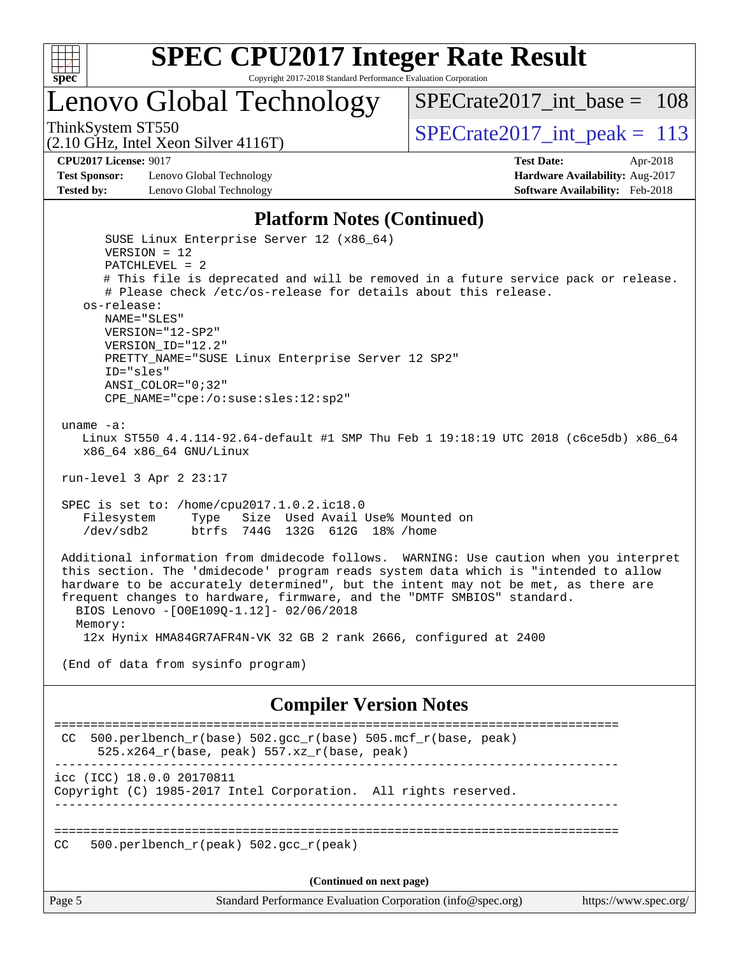

# **[SPEC CPU2017 Integer Rate Result](http://www.spec.org/auto/cpu2017/Docs/result-fields.html#SPECCPU2017IntegerRateResult)**

Copyright 2017-2018 Standard Performance Evaluation Corporation

### Lenovo Global Technology

ThinkSystem ST550  $SPIZ$  Interval Lemma  $SPECrate2017$  interval peak = 113

[SPECrate2017\\_int\\_base =](http://www.spec.org/auto/cpu2017/Docs/result-fields.html#SPECrate2017intbase) 108

(2.10 GHz, Intel Xeon Silver 4116T)

**[CPU2017 License:](http://www.spec.org/auto/cpu2017/Docs/result-fields.html#CPU2017License)** 9017 **[Test Date:](http://www.spec.org/auto/cpu2017/Docs/result-fields.html#TestDate)** Apr-2018

**[Test Sponsor:](http://www.spec.org/auto/cpu2017/Docs/result-fields.html#TestSponsor)** Lenovo Global Technology **[Hardware Availability:](http://www.spec.org/auto/cpu2017/Docs/result-fields.html#HardwareAvailability)** Aug-2017 **[Tested by:](http://www.spec.org/auto/cpu2017/Docs/result-fields.html#Testedby)** Lenovo Global Technology **[Software Availability:](http://www.spec.org/auto/cpu2017/Docs/result-fields.html#SoftwareAvailability)** Feb-2018

#### **[Platform Notes \(Continued\)](http://www.spec.org/auto/cpu2017/Docs/result-fields.html#PlatformNotes)**

 SUSE Linux Enterprise Server 12 (x86\_64) VERSION = 12 PATCHLEVEL = 2 # This file is deprecated and will be removed in a future service pack or release. # Please check /etc/os-release for details about this release. os-release: NAME="SLES" VERSION="12-SP2" VERSION\_ID="12.2" PRETTY\_NAME="SUSE Linux Enterprise Server 12 SP2" ID="sles" ANSI\_COLOR="0;32" CPE\_NAME="cpe:/o:suse:sles:12:sp2" uname -a: Linux ST550 4.4.114-92.64-default #1 SMP Thu Feb 1 19:18:19 UTC 2018 (c6ce5db) x86\_64 x86\_64 x86\_64 GNU/Linux run-level 3 Apr 2 23:17 SPEC is set to: /home/cpu2017.1.0.2.ic18.0 Filesystem Type Size Used Avail Use% Mounted on /dev/sdb2 btrfs 744G 132G 612G 18% /home Additional information from dmidecode follows. WARNING: Use caution when you interpret this section. The 'dmidecode' program reads system data which is "intended to allow hardware to be accurately determined", but the intent may not be met, as there are frequent changes to hardware, firmware, and the "DMTF SMBIOS" standard. BIOS Lenovo -[O0E109Q-1.12]- 02/06/2018 Memory: 12x Hynix HMA84GR7AFR4N-VK 32 GB 2 rank 2666, configured at 2400 (End of data from sysinfo program) **[Compiler Version Notes](http://www.spec.org/auto/cpu2017/Docs/result-fields.html#CompilerVersionNotes)** ============================================================================== CC 500.perlbench\_r(base)  $502.\text{gcc_r}$ (base)  $505.\text{mcf_r}$ (base, peak) 525.x264\_r(base, peak) 557.xz\_r(base, peak) ----------------------------------------------------------------------------- icc (ICC) 18.0.0 20170811 Copyright (C) 1985-2017 Intel Corporation. All rights reserved. ------------------------------------------------------------------------------

==============================================================================

CC 500.perlbench  $r(\text{peak})$  502.gcc  $r(\text{peak})$ 

**(Continued on next page)**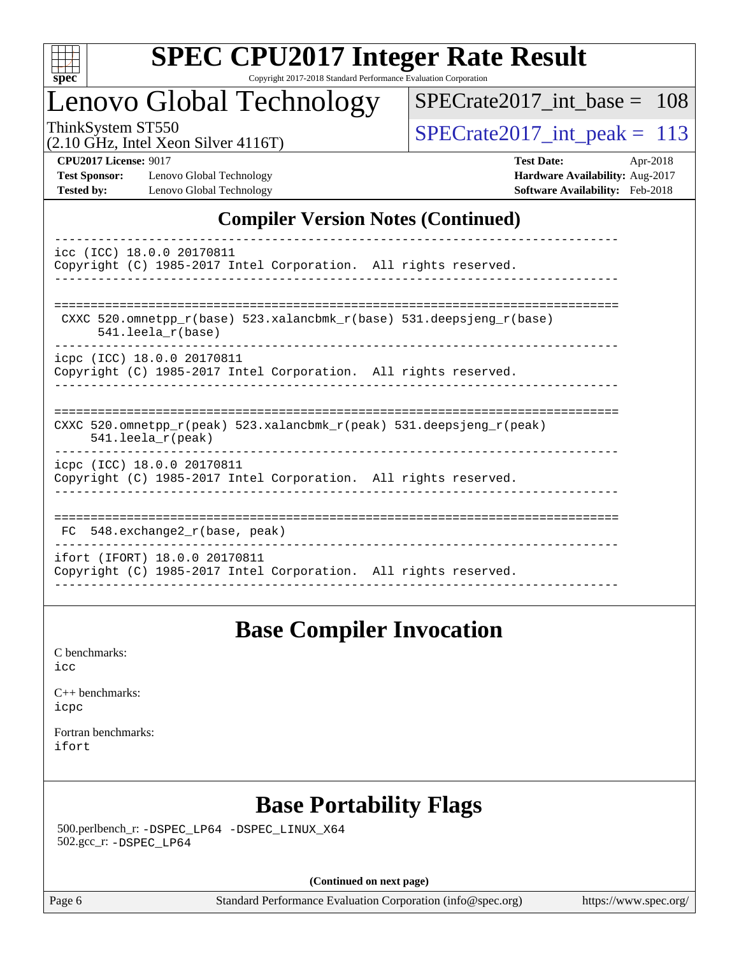

### Lenovo Global Technology

[SPECrate2017\\_int\\_base =](http://www.spec.org/auto/cpu2017/Docs/result-fields.html#SPECrate2017intbase) 108

(2.10 GHz, Intel Xeon Silver 4116T)

ThinkSystem ST550<br>(2.10 GHz, Intel Xeon Silver 4116T) [SPECrate2017\\_int\\_peak =](http://www.spec.org/auto/cpu2017/Docs/result-fields.html#SPECrate2017intpeak) 113

**[Test Sponsor:](http://www.spec.org/auto/cpu2017/Docs/result-fields.html#TestSponsor)** Lenovo Global Technology **[Hardware Availability:](http://www.spec.org/auto/cpu2017/Docs/result-fields.html#HardwareAvailability)** Aug-2017 **[Tested by:](http://www.spec.org/auto/cpu2017/Docs/result-fields.html#Testedby)** Lenovo Global Technology **[Software Availability:](http://www.spec.org/auto/cpu2017/Docs/result-fields.html#SoftwareAvailability)** Feb-2018

**[CPU2017 License:](http://www.spec.org/auto/cpu2017/Docs/result-fields.html#CPU2017License)** 9017 **[Test Date:](http://www.spec.org/auto/cpu2017/Docs/result-fields.html#TestDate)** Apr-2018

#### **[Compiler Version Notes \(Continued\)](http://www.spec.org/auto/cpu2017/Docs/result-fields.html#CompilerVersionNotes)**

| icc (ICC) 18.0.0 20170811<br>Copyright (C) 1985-2017 Intel Corporation. All rights reserved.                            |
|-------------------------------------------------------------------------------------------------------------------------|
| CXXC 520.omnetpp $r(base)$ 523.xalancbmk $r(base)$ 531.deepsjeng $r(base)$                                              |
| $541.$ leela r(base)                                                                                                    |
| icpc (ICC) 18.0.0 20170811<br>Copyright (C) 1985-2017 Intel Corporation. All rights reserved.                           |
|                                                                                                                         |
| CXXC 520.omnetpp $r(\text{peak})$ 523.xalancbmk $r(\text{peak})$ 531.deepsjeng $r(\text{peak})$<br>$541.$ leela r(peak) |
| icpc (ICC) 18.0.0 20170811<br>Copyright (C) 1985-2017 Intel Corporation. All rights reserved.                           |
| 548.exchange2 r(base, peak)<br>FC.                                                                                      |
| ifort (IFORT) 18.0.0 20170811<br>Copyright (C) 1985-2017 Intel Corporation. All rights reserved.                        |

------------------------------------------------------------------------------

### **[Base Compiler Invocation](http://www.spec.org/auto/cpu2017/Docs/result-fields.html#BaseCompilerInvocation)**

[C benchmarks](http://www.spec.org/auto/cpu2017/Docs/result-fields.html#Cbenchmarks): [icc](http://www.spec.org/cpu2017/results/res2018q2/cpu2017-20180525-05804.flags.html#user_CCbase_intel_icc_18.0_66fc1ee009f7361af1fbd72ca7dcefbb700085f36577c54f309893dd4ec40d12360134090235512931783d35fd58c0460139e722d5067c5574d8eaf2b3e37e92)

[C++ benchmarks:](http://www.spec.org/auto/cpu2017/Docs/result-fields.html#CXXbenchmarks) [icpc](http://www.spec.org/cpu2017/results/res2018q2/cpu2017-20180525-05804.flags.html#user_CXXbase_intel_icpc_18.0_c510b6838c7f56d33e37e94d029a35b4a7bccf4766a728ee175e80a419847e808290a9b78be685c44ab727ea267ec2f070ec5dc83b407c0218cded6866a35d07)

[Fortran benchmarks](http://www.spec.org/auto/cpu2017/Docs/result-fields.html#Fortranbenchmarks): [ifort](http://www.spec.org/cpu2017/results/res2018q2/cpu2017-20180525-05804.flags.html#user_FCbase_intel_ifort_18.0_8111460550e3ca792625aed983ce982f94888b8b503583aa7ba2b8303487b4d8a21a13e7191a45c5fd58ff318f48f9492884d4413fa793fd88dd292cad7027ca)

### **[Base Portability Flags](http://www.spec.org/auto/cpu2017/Docs/result-fields.html#BasePortabilityFlags)**

 500.perlbench\_r: [-DSPEC\\_LP64](http://www.spec.org/cpu2017/results/res2018q2/cpu2017-20180525-05804.flags.html#b500.perlbench_r_basePORTABILITY_DSPEC_LP64) [-DSPEC\\_LINUX\\_X64](http://www.spec.org/cpu2017/results/res2018q2/cpu2017-20180525-05804.flags.html#b500.perlbench_r_baseCPORTABILITY_DSPEC_LINUX_X64) 502.gcc\_r: [-DSPEC\\_LP64](http://www.spec.org/cpu2017/results/res2018q2/cpu2017-20180525-05804.flags.html#suite_basePORTABILITY502_gcc_r_DSPEC_LP64)

**(Continued on next page)**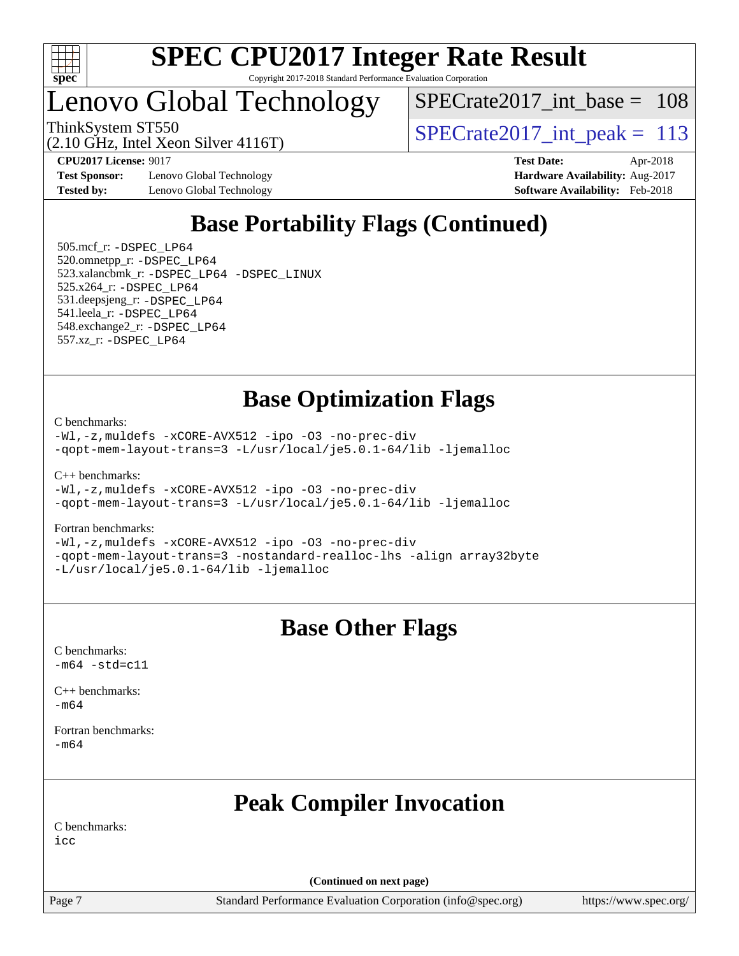

### Lenovo Global Technology

 $SPECrate2017\_int\_base = 108$ 

(2.10 GHz, Intel Xeon Silver 4116T)

ThinkSystem ST550<br>  $\frac{13}{2}$  [SPECrate2017\\_int\\_peak =](http://www.spec.org/auto/cpu2017/Docs/result-fields.html#SPECrate2017intpeak) 113

**[Test Sponsor:](http://www.spec.org/auto/cpu2017/Docs/result-fields.html#TestSponsor)** Lenovo Global Technology **[Hardware Availability:](http://www.spec.org/auto/cpu2017/Docs/result-fields.html#HardwareAvailability)** Aug-2017 **[Tested by:](http://www.spec.org/auto/cpu2017/Docs/result-fields.html#Testedby)** Lenovo Global Technology **[Software Availability:](http://www.spec.org/auto/cpu2017/Docs/result-fields.html#SoftwareAvailability)** Feb-2018

**[CPU2017 License:](http://www.spec.org/auto/cpu2017/Docs/result-fields.html#CPU2017License)** 9017 **[Test Date:](http://www.spec.org/auto/cpu2017/Docs/result-fields.html#TestDate)** Apr-2018

### **[Base Portability Flags \(Continued\)](http://www.spec.org/auto/cpu2017/Docs/result-fields.html#BasePortabilityFlags)**

 505.mcf\_r: [-DSPEC\\_LP64](http://www.spec.org/cpu2017/results/res2018q2/cpu2017-20180525-05804.flags.html#suite_basePORTABILITY505_mcf_r_DSPEC_LP64) 520.omnetpp\_r: [-DSPEC\\_LP64](http://www.spec.org/cpu2017/results/res2018q2/cpu2017-20180525-05804.flags.html#suite_basePORTABILITY520_omnetpp_r_DSPEC_LP64) 523.xalancbmk\_r: [-DSPEC\\_LP64](http://www.spec.org/cpu2017/results/res2018q2/cpu2017-20180525-05804.flags.html#suite_basePORTABILITY523_xalancbmk_r_DSPEC_LP64) [-DSPEC\\_LINUX](http://www.spec.org/cpu2017/results/res2018q2/cpu2017-20180525-05804.flags.html#b523.xalancbmk_r_baseCXXPORTABILITY_DSPEC_LINUX) 525.x264\_r: [-DSPEC\\_LP64](http://www.spec.org/cpu2017/results/res2018q2/cpu2017-20180525-05804.flags.html#suite_basePORTABILITY525_x264_r_DSPEC_LP64) 531.deepsjeng\_r: [-DSPEC\\_LP64](http://www.spec.org/cpu2017/results/res2018q2/cpu2017-20180525-05804.flags.html#suite_basePORTABILITY531_deepsjeng_r_DSPEC_LP64) 541.leela\_r: [-DSPEC\\_LP64](http://www.spec.org/cpu2017/results/res2018q2/cpu2017-20180525-05804.flags.html#suite_basePORTABILITY541_leela_r_DSPEC_LP64) 548.exchange2\_r: [-DSPEC\\_LP64](http://www.spec.org/cpu2017/results/res2018q2/cpu2017-20180525-05804.flags.html#suite_basePORTABILITY548_exchange2_r_DSPEC_LP64) 557.xz\_r: [-DSPEC\\_LP64](http://www.spec.org/cpu2017/results/res2018q2/cpu2017-20180525-05804.flags.html#suite_basePORTABILITY557_xz_r_DSPEC_LP64)

### **[Base Optimization Flags](http://www.spec.org/auto/cpu2017/Docs/result-fields.html#BaseOptimizationFlags)**

[C benchmarks](http://www.spec.org/auto/cpu2017/Docs/result-fields.html#Cbenchmarks):

[-Wl,-z,muldefs](http://www.spec.org/cpu2017/results/res2018q2/cpu2017-20180525-05804.flags.html#user_CCbase_link_force_multiple1_b4cbdb97b34bdee9ceefcfe54f4c8ea74255f0b02a4b23e853cdb0e18eb4525ac79b5a88067c842dd0ee6996c24547a27a4b99331201badda8798ef8a743f577) [-xCORE-AVX512](http://www.spec.org/cpu2017/results/res2018q2/cpu2017-20180525-05804.flags.html#user_CCbase_f-xCORE-AVX512) [-ipo](http://www.spec.org/cpu2017/results/res2018q2/cpu2017-20180525-05804.flags.html#user_CCbase_f-ipo) [-O3](http://www.spec.org/cpu2017/results/res2018q2/cpu2017-20180525-05804.flags.html#user_CCbase_f-O3) [-no-prec-div](http://www.spec.org/cpu2017/results/res2018q2/cpu2017-20180525-05804.flags.html#user_CCbase_f-no-prec-div) [-qopt-mem-layout-trans=3](http://www.spec.org/cpu2017/results/res2018q2/cpu2017-20180525-05804.flags.html#user_CCbase_f-qopt-mem-layout-trans_de80db37974c74b1f0e20d883f0b675c88c3b01e9d123adea9b28688d64333345fb62bc4a798493513fdb68f60282f9a726aa07f478b2f7113531aecce732043) [-L/usr/local/je5.0.1-64/lib](http://www.spec.org/cpu2017/results/res2018q2/cpu2017-20180525-05804.flags.html#user_CCbase_jemalloc_link_path64_4b10a636b7bce113509b17f3bd0d6226c5fb2346b9178c2d0232c14f04ab830f976640479e5c33dc2bcbbdad86ecfb6634cbbd4418746f06f368b512fced5394) [-ljemalloc](http://www.spec.org/cpu2017/results/res2018q2/cpu2017-20180525-05804.flags.html#user_CCbase_jemalloc_link_lib_d1249b907c500fa1c0672f44f562e3d0f79738ae9e3c4a9c376d49f265a04b9c99b167ecedbf6711b3085be911c67ff61f150a17b3472be731631ba4d0471706)

[C++ benchmarks:](http://www.spec.org/auto/cpu2017/Docs/result-fields.html#CXXbenchmarks)

[-Wl,-z,muldefs](http://www.spec.org/cpu2017/results/res2018q2/cpu2017-20180525-05804.flags.html#user_CXXbase_link_force_multiple1_b4cbdb97b34bdee9ceefcfe54f4c8ea74255f0b02a4b23e853cdb0e18eb4525ac79b5a88067c842dd0ee6996c24547a27a4b99331201badda8798ef8a743f577) [-xCORE-AVX512](http://www.spec.org/cpu2017/results/res2018q2/cpu2017-20180525-05804.flags.html#user_CXXbase_f-xCORE-AVX512) [-ipo](http://www.spec.org/cpu2017/results/res2018q2/cpu2017-20180525-05804.flags.html#user_CXXbase_f-ipo) [-O3](http://www.spec.org/cpu2017/results/res2018q2/cpu2017-20180525-05804.flags.html#user_CXXbase_f-O3) [-no-prec-div](http://www.spec.org/cpu2017/results/res2018q2/cpu2017-20180525-05804.flags.html#user_CXXbase_f-no-prec-div) [-qopt-mem-layout-trans=3](http://www.spec.org/cpu2017/results/res2018q2/cpu2017-20180525-05804.flags.html#user_CXXbase_f-qopt-mem-layout-trans_de80db37974c74b1f0e20d883f0b675c88c3b01e9d123adea9b28688d64333345fb62bc4a798493513fdb68f60282f9a726aa07f478b2f7113531aecce732043) [-L/usr/local/je5.0.1-64/lib](http://www.spec.org/cpu2017/results/res2018q2/cpu2017-20180525-05804.flags.html#user_CXXbase_jemalloc_link_path64_4b10a636b7bce113509b17f3bd0d6226c5fb2346b9178c2d0232c14f04ab830f976640479e5c33dc2bcbbdad86ecfb6634cbbd4418746f06f368b512fced5394) [-ljemalloc](http://www.spec.org/cpu2017/results/res2018q2/cpu2017-20180525-05804.flags.html#user_CXXbase_jemalloc_link_lib_d1249b907c500fa1c0672f44f562e3d0f79738ae9e3c4a9c376d49f265a04b9c99b167ecedbf6711b3085be911c67ff61f150a17b3472be731631ba4d0471706)

#### [Fortran benchmarks](http://www.spec.org/auto/cpu2017/Docs/result-fields.html#Fortranbenchmarks):

[-Wl,-z,muldefs](http://www.spec.org/cpu2017/results/res2018q2/cpu2017-20180525-05804.flags.html#user_FCbase_link_force_multiple1_b4cbdb97b34bdee9ceefcfe54f4c8ea74255f0b02a4b23e853cdb0e18eb4525ac79b5a88067c842dd0ee6996c24547a27a4b99331201badda8798ef8a743f577) [-xCORE-AVX512](http://www.spec.org/cpu2017/results/res2018q2/cpu2017-20180525-05804.flags.html#user_FCbase_f-xCORE-AVX512) [-ipo](http://www.spec.org/cpu2017/results/res2018q2/cpu2017-20180525-05804.flags.html#user_FCbase_f-ipo) [-O3](http://www.spec.org/cpu2017/results/res2018q2/cpu2017-20180525-05804.flags.html#user_FCbase_f-O3) [-no-prec-div](http://www.spec.org/cpu2017/results/res2018q2/cpu2017-20180525-05804.flags.html#user_FCbase_f-no-prec-div) [-qopt-mem-layout-trans=3](http://www.spec.org/cpu2017/results/res2018q2/cpu2017-20180525-05804.flags.html#user_FCbase_f-qopt-mem-layout-trans_de80db37974c74b1f0e20d883f0b675c88c3b01e9d123adea9b28688d64333345fb62bc4a798493513fdb68f60282f9a726aa07f478b2f7113531aecce732043) [-nostandard-realloc-lhs](http://www.spec.org/cpu2017/results/res2018q2/cpu2017-20180525-05804.flags.html#user_FCbase_f_2003_std_realloc_82b4557e90729c0f113870c07e44d33d6f5a304b4f63d4c15d2d0f1fab99f5daaed73bdb9275d9ae411527f28b936061aa8b9c8f2d63842963b95c9dd6426b8a) [-align array32byte](http://www.spec.org/cpu2017/results/res2018q2/cpu2017-20180525-05804.flags.html#user_FCbase_align_array32byte_b982fe038af199962ba9a80c053b8342c548c85b40b8e86eb3cc33dee0d7986a4af373ac2d51c3f7cf710a18d62fdce2948f201cd044323541f22fc0fffc51b6) [-L/usr/local/je5.0.1-64/lib](http://www.spec.org/cpu2017/results/res2018q2/cpu2017-20180525-05804.flags.html#user_FCbase_jemalloc_link_path64_4b10a636b7bce113509b17f3bd0d6226c5fb2346b9178c2d0232c14f04ab830f976640479e5c33dc2bcbbdad86ecfb6634cbbd4418746f06f368b512fced5394) [-ljemalloc](http://www.spec.org/cpu2017/results/res2018q2/cpu2017-20180525-05804.flags.html#user_FCbase_jemalloc_link_lib_d1249b907c500fa1c0672f44f562e3d0f79738ae9e3c4a9c376d49f265a04b9c99b167ecedbf6711b3085be911c67ff61f150a17b3472be731631ba4d0471706)

### **[Base Other Flags](http://www.spec.org/auto/cpu2017/Docs/result-fields.html#BaseOtherFlags)**

[C benchmarks](http://www.spec.org/auto/cpu2017/Docs/result-fields.html#Cbenchmarks):  $-m64 - std= c11$  $-m64 - std= c11$ 

[C++ benchmarks:](http://www.spec.org/auto/cpu2017/Docs/result-fields.html#CXXbenchmarks) [-m64](http://www.spec.org/cpu2017/results/res2018q2/cpu2017-20180525-05804.flags.html#user_CXXbase_intel_intel64_18.0_af43caccfc8ded86e7699f2159af6efc7655f51387b94da716254467f3c01020a5059329e2569e4053f409e7c9202a7efc638f7a6d1ffb3f52dea4a3e31d82ab)

[Fortran benchmarks](http://www.spec.org/auto/cpu2017/Docs/result-fields.html#Fortranbenchmarks): [-m64](http://www.spec.org/cpu2017/results/res2018q2/cpu2017-20180525-05804.flags.html#user_FCbase_intel_intel64_18.0_af43caccfc8ded86e7699f2159af6efc7655f51387b94da716254467f3c01020a5059329e2569e4053f409e7c9202a7efc638f7a6d1ffb3f52dea4a3e31d82ab)

### **[Peak Compiler Invocation](http://www.spec.org/auto/cpu2017/Docs/result-fields.html#PeakCompilerInvocation)**

[C benchmarks](http://www.spec.org/auto/cpu2017/Docs/result-fields.html#Cbenchmarks):

[icc](http://www.spec.org/cpu2017/results/res2018q2/cpu2017-20180525-05804.flags.html#user_CCpeak_intel_icc_18.0_66fc1ee009f7361af1fbd72ca7dcefbb700085f36577c54f309893dd4ec40d12360134090235512931783d35fd58c0460139e722d5067c5574d8eaf2b3e37e92)

**(Continued on next page)**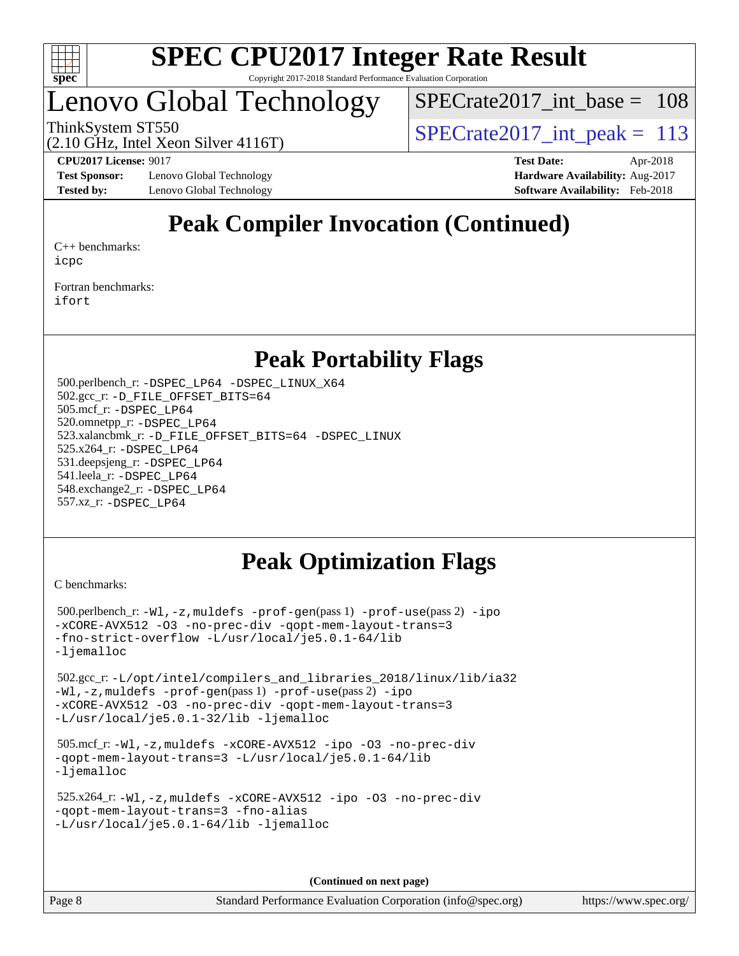

### Lenovo Global Technology

 $SPECrate2017\_int\_base = 108$ 

ThinkSystem ST550  $SPIZ$  Interval Lemma  $SPECrate2017$  interval peak = 113

**[Test Sponsor:](http://www.spec.org/auto/cpu2017/Docs/result-fields.html#TestSponsor)** Lenovo Global Technology **[Hardware Availability:](http://www.spec.org/auto/cpu2017/Docs/result-fields.html#HardwareAvailability)** Aug-2017 **[Tested by:](http://www.spec.org/auto/cpu2017/Docs/result-fields.html#Testedby)** Lenovo Global Technology **[Software Availability:](http://www.spec.org/auto/cpu2017/Docs/result-fields.html#SoftwareAvailability)** Feb-2018

(2.10 GHz, Intel Xeon Silver 4116T)

**[CPU2017 License:](http://www.spec.org/auto/cpu2017/Docs/result-fields.html#CPU2017License)** 9017 **[Test Date:](http://www.spec.org/auto/cpu2017/Docs/result-fields.html#TestDate)** Apr-2018

### **[Peak Compiler Invocation \(Continued\)](http://www.spec.org/auto/cpu2017/Docs/result-fields.html#PeakCompilerInvocation)**

[C++ benchmarks:](http://www.spec.org/auto/cpu2017/Docs/result-fields.html#CXXbenchmarks) [icpc](http://www.spec.org/cpu2017/results/res2018q2/cpu2017-20180525-05804.flags.html#user_CXXpeak_intel_icpc_18.0_c510b6838c7f56d33e37e94d029a35b4a7bccf4766a728ee175e80a419847e808290a9b78be685c44ab727ea267ec2f070ec5dc83b407c0218cded6866a35d07)

[Fortran benchmarks](http://www.spec.org/auto/cpu2017/Docs/result-fields.html#Fortranbenchmarks): [ifort](http://www.spec.org/cpu2017/results/res2018q2/cpu2017-20180525-05804.flags.html#user_FCpeak_intel_ifort_18.0_8111460550e3ca792625aed983ce982f94888b8b503583aa7ba2b8303487b4d8a21a13e7191a45c5fd58ff318f48f9492884d4413fa793fd88dd292cad7027ca)

### **[Peak Portability Flags](http://www.spec.org/auto/cpu2017/Docs/result-fields.html#PeakPortabilityFlags)**

 500.perlbench\_r: [-DSPEC\\_LP64](http://www.spec.org/cpu2017/results/res2018q2/cpu2017-20180525-05804.flags.html#b500.perlbench_r_peakPORTABILITY_DSPEC_LP64) [-DSPEC\\_LINUX\\_X64](http://www.spec.org/cpu2017/results/res2018q2/cpu2017-20180525-05804.flags.html#b500.perlbench_r_peakCPORTABILITY_DSPEC_LINUX_X64) 502.gcc\_r: [-D\\_FILE\\_OFFSET\\_BITS=64](http://www.spec.org/cpu2017/results/res2018q2/cpu2017-20180525-05804.flags.html#user_peakPORTABILITY502_gcc_r_file_offset_bits_64_5ae949a99b284ddf4e95728d47cb0843d81b2eb0e18bdfe74bbf0f61d0b064f4bda2f10ea5eb90e1dcab0e84dbc592acfc5018bc955c18609f94ddb8d550002c) 505.mcf\_r: [-DSPEC\\_LP64](http://www.spec.org/cpu2017/results/res2018q2/cpu2017-20180525-05804.flags.html#suite_peakPORTABILITY505_mcf_r_DSPEC_LP64) 520.omnetpp\_r: [-DSPEC\\_LP64](http://www.spec.org/cpu2017/results/res2018q2/cpu2017-20180525-05804.flags.html#suite_peakPORTABILITY520_omnetpp_r_DSPEC_LP64) 523.xalancbmk\_r: [-D\\_FILE\\_OFFSET\\_BITS=64](http://www.spec.org/cpu2017/results/res2018q2/cpu2017-20180525-05804.flags.html#user_peakPORTABILITY523_xalancbmk_r_file_offset_bits_64_5ae949a99b284ddf4e95728d47cb0843d81b2eb0e18bdfe74bbf0f61d0b064f4bda2f10ea5eb90e1dcab0e84dbc592acfc5018bc955c18609f94ddb8d550002c) [-DSPEC\\_LINUX](http://www.spec.org/cpu2017/results/res2018q2/cpu2017-20180525-05804.flags.html#b523.xalancbmk_r_peakCXXPORTABILITY_DSPEC_LINUX) 525.x264\_r: [-DSPEC\\_LP64](http://www.spec.org/cpu2017/results/res2018q2/cpu2017-20180525-05804.flags.html#suite_peakPORTABILITY525_x264_r_DSPEC_LP64) 531.deepsjeng\_r: [-DSPEC\\_LP64](http://www.spec.org/cpu2017/results/res2018q2/cpu2017-20180525-05804.flags.html#suite_peakPORTABILITY531_deepsjeng_r_DSPEC_LP64) 541.leela\_r: [-DSPEC\\_LP64](http://www.spec.org/cpu2017/results/res2018q2/cpu2017-20180525-05804.flags.html#suite_peakPORTABILITY541_leela_r_DSPEC_LP64) 548.exchange2\_r: [-DSPEC\\_LP64](http://www.spec.org/cpu2017/results/res2018q2/cpu2017-20180525-05804.flags.html#suite_peakPORTABILITY548_exchange2_r_DSPEC_LP64) 557.xz\_r: [-DSPEC\\_LP64](http://www.spec.org/cpu2017/results/res2018q2/cpu2017-20180525-05804.flags.html#suite_peakPORTABILITY557_xz_r_DSPEC_LP64)

### **[Peak Optimization Flags](http://www.spec.org/auto/cpu2017/Docs/result-fields.html#PeakOptimizationFlags)**

[C benchmarks](http://www.spec.org/auto/cpu2017/Docs/result-fields.html#Cbenchmarks):

 500.perlbench\_r: [-Wl,-z,muldefs](http://www.spec.org/cpu2017/results/res2018q2/cpu2017-20180525-05804.flags.html#user_peakEXTRA_LDFLAGS500_perlbench_r_link_force_multiple1_b4cbdb97b34bdee9ceefcfe54f4c8ea74255f0b02a4b23e853cdb0e18eb4525ac79b5a88067c842dd0ee6996c24547a27a4b99331201badda8798ef8a743f577) [-prof-gen](http://www.spec.org/cpu2017/results/res2018q2/cpu2017-20180525-05804.flags.html#user_peakPASS1_CFLAGSPASS1_LDFLAGS500_perlbench_r_prof_gen_5aa4926d6013ddb2a31985c654b3eb18169fc0c6952a63635c234f711e6e63dd76e94ad52365559451ec499a2cdb89e4dc58ba4c67ef54ca681ffbe1461d6b36)(pass 1) [-prof-use](http://www.spec.org/cpu2017/results/res2018q2/cpu2017-20180525-05804.flags.html#user_peakPASS2_CFLAGSPASS2_LDFLAGS500_perlbench_r_prof_use_1a21ceae95f36a2b53c25747139a6c16ca95bd9def2a207b4f0849963b97e94f5260e30a0c64f4bb623698870e679ca08317ef8150905d41bd88c6f78df73f19)(pass 2) [-ipo](http://www.spec.org/cpu2017/results/res2018q2/cpu2017-20180525-05804.flags.html#user_peakPASS1_COPTIMIZEPASS2_COPTIMIZE500_perlbench_r_f-ipo) [-xCORE-AVX512](http://www.spec.org/cpu2017/results/res2018q2/cpu2017-20180525-05804.flags.html#user_peakPASS2_COPTIMIZE500_perlbench_r_f-xCORE-AVX512) [-O3](http://www.spec.org/cpu2017/results/res2018q2/cpu2017-20180525-05804.flags.html#user_peakPASS1_COPTIMIZEPASS2_COPTIMIZE500_perlbench_r_f-O3) [-no-prec-div](http://www.spec.org/cpu2017/results/res2018q2/cpu2017-20180525-05804.flags.html#user_peakPASS1_COPTIMIZEPASS2_COPTIMIZE500_perlbench_r_f-no-prec-div) [-qopt-mem-layout-trans=3](http://www.spec.org/cpu2017/results/res2018q2/cpu2017-20180525-05804.flags.html#user_peakPASS1_COPTIMIZEPASS2_COPTIMIZE500_perlbench_r_f-qopt-mem-layout-trans_de80db37974c74b1f0e20d883f0b675c88c3b01e9d123adea9b28688d64333345fb62bc4a798493513fdb68f60282f9a726aa07f478b2f7113531aecce732043) [-fno-strict-overflow](http://www.spec.org/cpu2017/results/res2018q2/cpu2017-20180525-05804.flags.html#user_peakEXTRA_OPTIMIZE500_perlbench_r_f-fno-strict-overflow) [-L/usr/local/je5.0.1-64/lib](http://www.spec.org/cpu2017/results/res2018q2/cpu2017-20180525-05804.flags.html#user_peakEXTRA_LIBS500_perlbench_r_jemalloc_link_path64_4b10a636b7bce113509b17f3bd0d6226c5fb2346b9178c2d0232c14f04ab830f976640479e5c33dc2bcbbdad86ecfb6634cbbd4418746f06f368b512fced5394) [-ljemalloc](http://www.spec.org/cpu2017/results/res2018q2/cpu2017-20180525-05804.flags.html#user_peakEXTRA_LIBS500_perlbench_r_jemalloc_link_lib_d1249b907c500fa1c0672f44f562e3d0f79738ae9e3c4a9c376d49f265a04b9c99b167ecedbf6711b3085be911c67ff61f150a17b3472be731631ba4d0471706) 502.gcc\_r: [-L/opt/intel/compilers\\_and\\_libraries\\_2018/linux/lib/ia32](http://www.spec.org/cpu2017/results/res2018q2/cpu2017-20180525-05804.flags.html#user_peakCCLD502_gcc_r_Enable-32bit-runtime_af243bdb1d79e4c7a4f720bf8275e627de2ecd461de63307bc14cef0633fde3cd7bb2facb32dcc8be9566045fb55d40ce2b72b725f73827aa7833441b71b9343) [-Wl,-z,muldefs](http://www.spec.org/cpu2017/results/res2018q2/cpu2017-20180525-05804.flags.html#user_peakEXTRA_LDFLAGS502_gcc_r_link_force_multiple1_b4cbdb97b34bdee9ceefcfe54f4c8ea74255f0b02a4b23e853cdb0e18eb4525ac79b5a88067c842dd0ee6996c24547a27a4b99331201badda8798ef8a743f577) [-prof-gen](http://www.spec.org/cpu2017/results/res2018q2/cpu2017-20180525-05804.flags.html#user_peakPASS1_CFLAGSPASS1_LDFLAGS502_gcc_r_prof_gen_5aa4926d6013ddb2a31985c654b3eb18169fc0c6952a63635c234f711e6e63dd76e94ad52365559451ec499a2cdb89e4dc58ba4c67ef54ca681ffbe1461d6b36)(pass 1) [-prof-use](http://www.spec.org/cpu2017/results/res2018q2/cpu2017-20180525-05804.flags.html#user_peakPASS2_CFLAGSPASS2_LDFLAGS502_gcc_r_prof_use_1a21ceae95f36a2b53c25747139a6c16ca95bd9def2a207b4f0849963b97e94f5260e30a0c64f4bb623698870e679ca08317ef8150905d41bd88c6f78df73f19)(pass 2) [-ipo](http://www.spec.org/cpu2017/results/res2018q2/cpu2017-20180525-05804.flags.html#user_peakPASS1_COPTIMIZEPASS2_COPTIMIZE502_gcc_r_f-ipo) [-xCORE-AVX512](http://www.spec.org/cpu2017/results/res2018q2/cpu2017-20180525-05804.flags.html#user_peakPASS2_COPTIMIZE502_gcc_r_f-xCORE-AVX512) [-O3](http://www.spec.org/cpu2017/results/res2018q2/cpu2017-20180525-05804.flags.html#user_peakPASS1_COPTIMIZEPASS2_COPTIMIZE502_gcc_r_f-O3) [-no-prec-div](http://www.spec.org/cpu2017/results/res2018q2/cpu2017-20180525-05804.flags.html#user_peakPASS1_COPTIMIZEPASS2_COPTIMIZE502_gcc_r_f-no-prec-div) [-qopt-mem-layout-trans=3](http://www.spec.org/cpu2017/results/res2018q2/cpu2017-20180525-05804.flags.html#user_peakPASS1_COPTIMIZEPASS2_COPTIMIZE502_gcc_r_f-qopt-mem-layout-trans_de80db37974c74b1f0e20d883f0b675c88c3b01e9d123adea9b28688d64333345fb62bc4a798493513fdb68f60282f9a726aa07f478b2f7113531aecce732043) [-L/usr/local/je5.0.1-32/lib](http://www.spec.org/cpu2017/results/res2018q2/cpu2017-20180525-05804.flags.html#user_peakEXTRA_LIBS502_gcc_r_jemalloc_link_path32_e29f22e8e6c17053bbc6a0971f5a9c01a601a06bb1a59df2084b77a2fe0a2995b64fd4256feaeea39eeba3aae142e96e2b2b0a28974019c0c0c88139a84f900a) [-ljemalloc](http://www.spec.org/cpu2017/results/res2018q2/cpu2017-20180525-05804.flags.html#user_peakEXTRA_LIBS502_gcc_r_jemalloc_link_lib_d1249b907c500fa1c0672f44f562e3d0f79738ae9e3c4a9c376d49f265a04b9c99b167ecedbf6711b3085be911c67ff61f150a17b3472be731631ba4d0471706) 505.mcf\_r: [-Wl,-z,muldefs](http://www.spec.org/cpu2017/results/res2018q2/cpu2017-20180525-05804.flags.html#user_peakEXTRA_LDFLAGS505_mcf_r_link_force_multiple1_b4cbdb97b34bdee9ceefcfe54f4c8ea74255f0b02a4b23e853cdb0e18eb4525ac79b5a88067c842dd0ee6996c24547a27a4b99331201badda8798ef8a743f577) [-xCORE-AVX512](http://www.spec.org/cpu2017/results/res2018q2/cpu2017-20180525-05804.flags.html#user_peakCOPTIMIZE505_mcf_r_f-xCORE-AVX512) [-ipo](http://www.spec.org/cpu2017/results/res2018q2/cpu2017-20180525-05804.flags.html#user_peakCOPTIMIZE505_mcf_r_f-ipo) [-O3](http://www.spec.org/cpu2017/results/res2018q2/cpu2017-20180525-05804.flags.html#user_peakCOPTIMIZE505_mcf_r_f-O3) [-no-prec-div](http://www.spec.org/cpu2017/results/res2018q2/cpu2017-20180525-05804.flags.html#user_peakCOPTIMIZE505_mcf_r_f-no-prec-div) [-qopt-mem-layout-trans=3](http://www.spec.org/cpu2017/results/res2018q2/cpu2017-20180525-05804.flags.html#user_peakCOPTIMIZE505_mcf_r_f-qopt-mem-layout-trans_de80db37974c74b1f0e20d883f0b675c88c3b01e9d123adea9b28688d64333345fb62bc4a798493513fdb68f60282f9a726aa07f478b2f7113531aecce732043) [-L/usr/local/je5.0.1-64/lib](http://www.spec.org/cpu2017/results/res2018q2/cpu2017-20180525-05804.flags.html#user_peakEXTRA_LIBS505_mcf_r_jemalloc_link_path64_4b10a636b7bce113509b17f3bd0d6226c5fb2346b9178c2d0232c14f04ab830f976640479e5c33dc2bcbbdad86ecfb6634cbbd4418746f06f368b512fced5394) [-ljemalloc](http://www.spec.org/cpu2017/results/res2018q2/cpu2017-20180525-05804.flags.html#user_peakEXTRA_LIBS505_mcf_r_jemalloc_link_lib_d1249b907c500fa1c0672f44f562e3d0f79738ae9e3c4a9c376d49f265a04b9c99b167ecedbf6711b3085be911c67ff61f150a17b3472be731631ba4d0471706) 525.x264\_r: [-Wl,-z,muldefs](http://www.spec.org/cpu2017/results/res2018q2/cpu2017-20180525-05804.flags.html#user_peakEXTRA_LDFLAGS525_x264_r_link_force_multiple1_b4cbdb97b34bdee9ceefcfe54f4c8ea74255f0b02a4b23e853cdb0e18eb4525ac79b5a88067c842dd0ee6996c24547a27a4b99331201badda8798ef8a743f577) [-xCORE-AVX512](http://www.spec.org/cpu2017/results/res2018q2/cpu2017-20180525-05804.flags.html#user_peakCOPTIMIZE525_x264_r_f-xCORE-AVX512) [-ipo](http://www.spec.org/cpu2017/results/res2018q2/cpu2017-20180525-05804.flags.html#user_peakCOPTIMIZE525_x264_r_f-ipo) [-O3](http://www.spec.org/cpu2017/results/res2018q2/cpu2017-20180525-05804.flags.html#user_peakCOPTIMIZE525_x264_r_f-O3) [-no-prec-div](http://www.spec.org/cpu2017/results/res2018q2/cpu2017-20180525-05804.flags.html#user_peakCOPTIMIZE525_x264_r_f-no-prec-div) [-qopt-mem-layout-trans=3](http://www.spec.org/cpu2017/results/res2018q2/cpu2017-20180525-05804.flags.html#user_peakCOPTIMIZE525_x264_r_f-qopt-mem-layout-trans_de80db37974c74b1f0e20d883f0b675c88c3b01e9d123adea9b28688d64333345fb62bc4a798493513fdb68f60282f9a726aa07f478b2f7113531aecce732043) [-fno-alias](http://www.spec.org/cpu2017/results/res2018q2/cpu2017-20180525-05804.flags.html#user_peakEXTRA_OPTIMIZE525_x264_r_f-no-alias_77dbac10d91cbfe898fbf4a29d1b29b694089caa623bdd1baccc9957d4edbe8d106c0b357e2748a65b44fc9e83d78098bb898077f3fe92f9faf24f7bd4a07ed7) [-L/usr/local/je5.0.1-64/lib](http://www.spec.org/cpu2017/results/res2018q2/cpu2017-20180525-05804.flags.html#user_peakEXTRA_LIBS525_x264_r_jemalloc_link_path64_4b10a636b7bce113509b17f3bd0d6226c5fb2346b9178c2d0232c14f04ab830f976640479e5c33dc2bcbbdad86ecfb6634cbbd4418746f06f368b512fced5394) [-ljemalloc](http://www.spec.org/cpu2017/results/res2018q2/cpu2017-20180525-05804.flags.html#user_peakEXTRA_LIBS525_x264_r_jemalloc_link_lib_d1249b907c500fa1c0672f44f562e3d0f79738ae9e3c4a9c376d49f265a04b9c99b167ecedbf6711b3085be911c67ff61f150a17b3472be731631ba4d0471706)

**(Continued on next page)**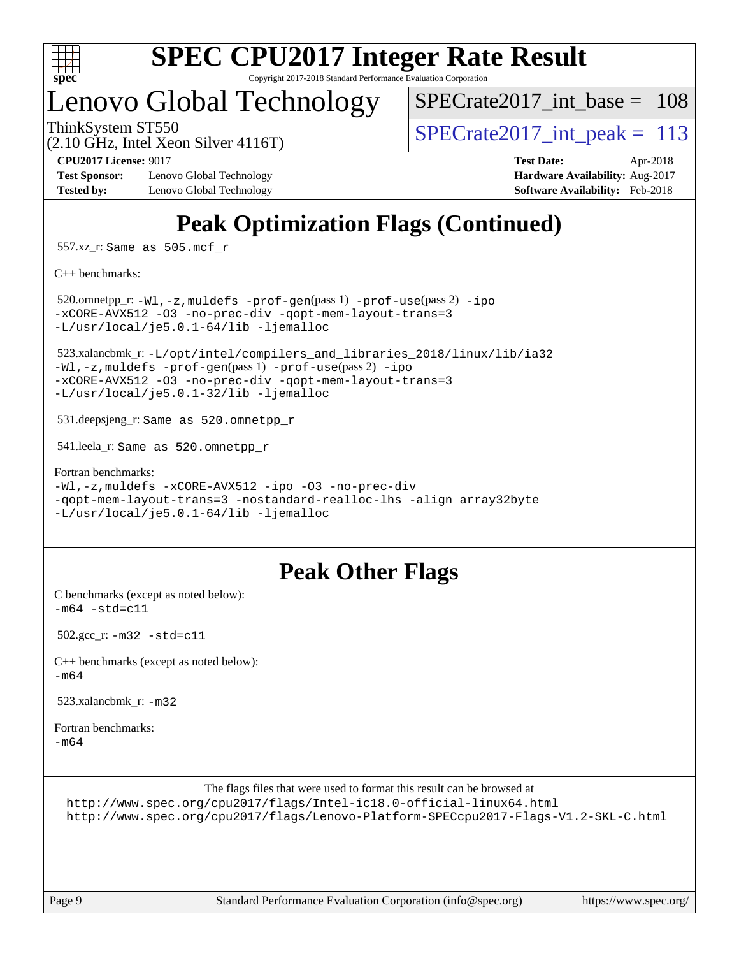

# **[SPEC CPU2017 Integer Rate Result](http://www.spec.org/auto/cpu2017/Docs/result-fields.html#SPECCPU2017IntegerRateResult)**

Copyright 2017-2018 Standard Performance Evaluation Corporation

### Lenovo Global Technology

[SPECrate2017\\_int\\_base =](http://www.spec.org/auto/cpu2017/Docs/result-fields.html#SPECrate2017intbase) 108

(2.10 GHz, Intel Xeon Silver 4116T)

ThinkSystem ST550  $SPIZ$  Interval Lemma  $SPECrate2017$  interval peak = 113

**[Test Sponsor:](http://www.spec.org/auto/cpu2017/Docs/result-fields.html#TestSponsor)** Lenovo Global Technology **[Hardware Availability:](http://www.spec.org/auto/cpu2017/Docs/result-fields.html#HardwareAvailability)** Aug-2017 **[Tested by:](http://www.spec.org/auto/cpu2017/Docs/result-fields.html#Testedby)** Lenovo Global Technology **[Software Availability:](http://www.spec.org/auto/cpu2017/Docs/result-fields.html#SoftwareAvailability)** Feb-2018

**[CPU2017 License:](http://www.spec.org/auto/cpu2017/Docs/result-fields.html#CPU2017License)** 9017 **[Test Date:](http://www.spec.org/auto/cpu2017/Docs/result-fields.html#TestDate)** Apr-2018

### **[Peak Optimization Flags \(Continued\)](http://www.spec.org/auto/cpu2017/Docs/result-fields.html#PeakOptimizationFlags)**

557.xz\_r: Same as 505.mcf\_r

[C++ benchmarks:](http://www.spec.org/auto/cpu2017/Docs/result-fields.html#CXXbenchmarks)

 520.omnetpp\_r: [-Wl,-z,muldefs](http://www.spec.org/cpu2017/results/res2018q2/cpu2017-20180525-05804.flags.html#user_peakEXTRA_LDFLAGS520_omnetpp_r_link_force_multiple1_b4cbdb97b34bdee9ceefcfe54f4c8ea74255f0b02a4b23e853cdb0e18eb4525ac79b5a88067c842dd0ee6996c24547a27a4b99331201badda8798ef8a743f577) [-prof-gen](http://www.spec.org/cpu2017/results/res2018q2/cpu2017-20180525-05804.flags.html#user_peakPASS1_CXXFLAGSPASS1_LDFLAGS520_omnetpp_r_prof_gen_5aa4926d6013ddb2a31985c654b3eb18169fc0c6952a63635c234f711e6e63dd76e94ad52365559451ec499a2cdb89e4dc58ba4c67ef54ca681ffbe1461d6b36)(pass 1) [-prof-use](http://www.spec.org/cpu2017/results/res2018q2/cpu2017-20180525-05804.flags.html#user_peakPASS2_CXXFLAGSPASS2_LDFLAGS520_omnetpp_r_prof_use_1a21ceae95f36a2b53c25747139a6c16ca95bd9def2a207b4f0849963b97e94f5260e30a0c64f4bb623698870e679ca08317ef8150905d41bd88c6f78df73f19)(pass 2) [-ipo](http://www.spec.org/cpu2017/results/res2018q2/cpu2017-20180525-05804.flags.html#user_peakPASS1_CXXOPTIMIZEPASS2_CXXOPTIMIZE520_omnetpp_r_f-ipo) [-xCORE-AVX512](http://www.spec.org/cpu2017/results/res2018q2/cpu2017-20180525-05804.flags.html#user_peakPASS2_CXXOPTIMIZE520_omnetpp_r_f-xCORE-AVX512) [-O3](http://www.spec.org/cpu2017/results/res2018q2/cpu2017-20180525-05804.flags.html#user_peakPASS1_CXXOPTIMIZEPASS2_CXXOPTIMIZE520_omnetpp_r_f-O3) [-no-prec-div](http://www.spec.org/cpu2017/results/res2018q2/cpu2017-20180525-05804.flags.html#user_peakPASS1_CXXOPTIMIZEPASS2_CXXOPTIMIZE520_omnetpp_r_f-no-prec-div) [-qopt-mem-layout-trans=3](http://www.spec.org/cpu2017/results/res2018q2/cpu2017-20180525-05804.flags.html#user_peakPASS1_CXXOPTIMIZEPASS2_CXXOPTIMIZE520_omnetpp_r_f-qopt-mem-layout-trans_de80db37974c74b1f0e20d883f0b675c88c3b01e9d123adea9b28688d64333345fb62bc4a798493513fdb68f60282f9a726aa07f478b2f7113531aecce732043) [-L/usr/local/je5.0.1-64/lib](http://www.spec.org/cpu2017/results/res2018q2/cpu2017-20180525-05804.flags.html#user_peakEXTRA_LIBS520_omnetpp_r_jemalloc_link_path64_4b10a636b7bce113509b17f3bd0d6226c5fb2346b9178c2d0232c14f04ab830f976640479e5c33dc2bcbbdad86ecfb6634cbbd4418746f06f368b512fced5394) [-ljemalloc](http://www.spec.org/cpu2017/results/res2018q2/cpu2017-20180525-05804.flags.html#user_peakEXTRA_LIBS520_omnetpp_r_jemalloc_link_lib_d1249b907c500fa1c0672f44f562e3d0f79738ae9e3c4a9c376d49f265a04b9c99b167ecedbf6711b3085be911c67ff61f150a17b3472be731631ba4d0471706)

 523.xalancbmk\_r: [-L/opt/intel/compilers\\_and\\_libraries\\_2018/linux/lib/ia32](http://www.spec.org/cpu2017/results/res2018q2/cpu2017-20180525-05804.flags.html#user_peakCXXLD523_xalancbmk_r_Enable-32bit-runtime_af243bdb1d79e4c7a4f720bf8275e627de2ecd461de63307bc14cef0633fde3cd7bb2facb32dcc8be9566045fb55d40ce2b72b725f73827aa7833441b71b9343) [-Wl,-z,muldefs](http://www.spec.org/cpu2017/results/res2018q2/cpu2017-20180525-05804.flags.html#user_peakEXTRA_LDFLAGS523_xalancbmk_r_link_force_multiple1_b4cbdb97b34bdee9ceefcfe54f4c8ea74255f0b02a4b23e853cdb0e18eb4525ac79b5a88067c842dd0ee6996c24547a27a4b99331201badda8798ef8a743f577) [-prof-gen](http://www.spec.org/cpu2017/results/res2018q2/cpu2017-20180525-05804.flags.html#user_peakPASS1_CXXFLAGSPASS1_LDFLAGS523_xalancbmk_r_prof_gen_5aa4926d6013ddb2a31985c654b3eb18169fc0c6952a63635c234f711e6e63dd76e94ad52365559451ec499a2cdb89e4dc58ba4c67ef54ca681ffbe1461d6b36)(pass 1) [-prof-use](http://www.spec.org/cpu2017/results/res2018q2/cpu2017-20180525-05804.flags.html#user_peakPASS2_CXXFLAGSPASS2_LDFLAGS523_xalancbmk_r_prof_use_1a21ceae95f36a2b53c25747139a6c16ca95bd9def2a207b4f0849963b97e94f5260e30a0c64f4bb623698870e679ca08317ef8150905d41bd88c6f78df73f19)(pass 2) [-ipo](http://www.spec.org/cpu2017/results/res2018q2/cpu2017-20180525-05804.flags.html#user_peakPASS1_CXXOPTIMIZEPASS2_CXXOPTIMIZE523_xalancbmk_r_f-ipo) [-xCORE-AVX512](http://www.spec.org/cpu2017/results/res2018q2/cpu2017-20180525-05804.flags.html#user_peakPASS2_CXXOPTIMIZE523_xalancbmk_r_f-xCORE-AVX512) [-O3](http://www.spec.org/cpu2017/results/res2018q2/cpu2017-20180525-05804.flags.html#user_peakPASS1_CXXOPTIMIZEPASS2_CXXOPTIMIZE523_xalancbmk_r_f-O3) [-no-prec-div](http://www.spec.org/cpu2017/results/res2018q2/cpu2017-20180525-05804.flags.html#user_peakPASS1_CXXOPTIMIZEPASS2_CXXOPTIMIZE523_xalancbmk_r_f-no-prec-div) [-qopt-mem-layout-trans=3](http://www.spec.org/cpu2017/results/res2018q2/cpu2017-20180525-05804.flags.html#user_peakPASS1_CXXOPTIMIZEPASS2_CXXOPTIMIZE523_xalancbmk_r_f-qopt-mem-layout-trans_de80db37974c74b1f0e20d883f0b675c88c3b01e9d123adea9b28688d64333345fb62bc4a798493513fdb68f60282f9a726aa07f478b2f7113531aecce732043) [-L/usr/local/je5.0.1-32/lib](http://www.spec.org/cpu2017/results/res2018q2/cpu2017-20180525-05804.flags.html#user_peakEXTRA_LIBS523_xalancbmk_r_jemalloc_link_path32_e29f22e8e6c17053bbc6a0971f5a9c01a601a06bb1a59df2084b77a2fe0a2995b64fd4256feaeea39eeba3aae142e96e2b2b0a28974019c0c0c88139a84f900a) [-ljemalloc](http://www.spec.org/cpu2017/results/res2018q2/cpu2017-20180525-05804.flags.html#user_peakEXTRA_LIBS523_xalancbmk_r_jemalloc_link_lib_d1249b907c500fa1c0672f44f562e3d0f79738ae9e3c4a9c376d49f265a04b9c99b167ecedbf6711b3085be911c67ff61f150a17b3472be731631ba4d0471706)

531.deepsjeng\_r: Same as 520.omnetpp\_r

541.leela\_r: Same as 520.omnetpp\_r

[Fortran benchmarks](http://www.spec.org/auto/cpu2017/Docs/result-fields.html#Fortranbenchmarks): [-Wl,-z,muldefs](http://www.spec.org/cpu2017/results/res2018q2/cpu2017-20180525-05804.flags.html#user_FCpeak_link_force_multiple1_b4cbdb97b34bdee9ceefcfe54f4c8ea74255f0b02a4b23e853cdb0e18eb4525ac79b5a88067c842dd0ee6996c24547a27a4b99331201badda8798ef8a743f577) [-xCORE-AVX512](http://www.spec.org/cpu2017/results/res2018q2/cpu2017-20180525-05804.flags.html#user_FCpeak_f-xCORE-AVX512) [-ipo](http://www.spec.org/cpu2017/results/res2018q2/cpu2017-20180525-05804.flags.html#user_FCpeak_f-ipo) [-O3](http://www.spec.org/cpu2017/results/res2018q2/cpu2017-20180525-05804.flags.html#user_FCpeak_f-O3) [-no-prec-div](http://www.spec.org/cpu2017/results/res2018q2/cpu2017-20180525-05804.flags.html#user_FCpeak_f-no-prec-div) [-qopt-mem-layout-trans=3](http://www.spec.org/cpu2017/results/res2018q2/cpu2017-20180525-05804.flags.html#user_FCpeak_f-qopt-mem-layout-trans_de80db37974c74b1f0e20d883f0b675c88c3b01e9d123adea9b28688d64333345fb62bc4a798493513fdb68f60282f9a726aa07f478b2f7113531aecce732043) [-nostandard-realloc-lhs](http://www.spec.org/cpu2017/results/res2018q2/cpu2017-20180525-05804.flags.html#user_FCpeak_f_2003_std_realloc_82b4557e90729c0f113870c07e44d33d6f5a304b4f63d4c15d2d0f1fab99f5daaed73bdb9275d9ae411527f28b936061aa8b9c8f2d63842963b95c9dd6426b8a) [-align array32byte](http://www.spec.org/cpu2017/results/res2018q2/cpu2017-20180525-05804.flags.html#user_FCpeak_align_array32byte_b982fe038af199962ba9a80c053b8342c548c85b40b8e86eb3cc33dee0d7986a4af373ac2d51c3f7cf710a18d62fdce2948f201cd044323541f22fc0fffc51b6) [-L/usr/local/je5.0.1-64/lib](http://www.spec.org/cpu2017/results/res2018q2/cpu2017-20180525-05804.flags.html#user_FCpeak_jemalloc_link_path64_4b10a636b7bce113509b17f3bd0d6226c5fb2346b9178c2d0232c14f04ab830f976640479e5c33dc2bcbbdad86ecfb6634cbbd4418746f06f368b512fced5394) [-ljemalloc](http://www.spec.org/cpu2017/results/res2018q2/cpu2017-20180525-05804.flags.html#user_FCpeak_jemalloc_link_lib_d1249b907c500fa1c0672f44f562e3d0f79738ae9e3c4a9c376d49f265a04b9c99b167ecedbf6711b3085be911c67ff61f150a17b3472be731631ba4d0471706)

### **[Peak Other Flags](http://www.spec.org/auto/cpu2017/Docs/result-fields.html#PeakOtherFlags)**

[C benchmarks \(except as noted below\)](http://www.spec.org/auto/cpu2017/Docs/result-fields.html#Cbenchmarksexceptasnotedbelow):  $-m64 - std = c11$  $-m64 - std = c11$ 

502.gcc\_r: [-m32](http://www.spec.org/cpu2017/results/res2018q2/cpu2017-20180525-05804.flags.html#user_peakCCLD502_gcc_r_intel_ia32_18.0_2666f1173eb60787016b673bfe1358e27016ef7649ea4884b7bc6187fd89dc221d14632e22638cde1c647a518de97358ab15d4ad098ee4e19a8b28d0c25e14bf) [-std=c11](http://www.spec.org/cpu2017/results/res2018q2/cpu2017-20180525-05804.flags.html#user_peakCCLD502_gcc_r_intel_compiler_c11_mode_0e1c27790398a4642dfca32ffe6c27b5796f9c2d2676156f2e42c9c44eaad0c049b1cdb667a270c34d979996257aeb8fc440bfb01818dbc9357bd9d174cb8524)

[C++ benchmarks \(except as noted below\):](http://www.spec.org/auto/cpu2017/Docs/result-fields.html#CXXbenchmarksexceptasnotedbelow) [-m64](http://www.spec.org/cpu2017/results/res2018q2/cpu2017-20180525-05804.flags.html#user_CXXpeak_intel_intel64_18.0_af43caccfc8ded86e7699f2159af6efc7655f51387b94da716254467f3c01020a5059329e2569e4053f409e7c9202a7efc638f7a6d1ffb3f52dea4a3e31d82ab)

523.xalancbmk $r: -m32$  $r: -m32$ 

[Fortran benchmarks](http://www.spec.org/auto/cpu2017/Docs/result-fields.html#Fortranbenchmarks): [-m64](http://www.spec.org/cpu2017/results/res2018q2/cpu2017-20180525-05804.flags.html#user_FCpeak_intel_intel64_18.0_af43caccfc8ded86e7699f2159af6efc7655f51387b94da716254467f3c01020a5059329e2569e4053f409e7c9202a7efc638f7a6d1ffb3f52dea4a3e31d82ab)

The flags files that were used to format this result can be browsed at

<http://www.spec.org/cpu2017/flags/Intel-ic18.0-official-linux64.html>

<http://www.spec.org/cpu2017/flags/Lenovo-Platform-SPECcpu2017-Flags-V1.2-SKL-C.html>